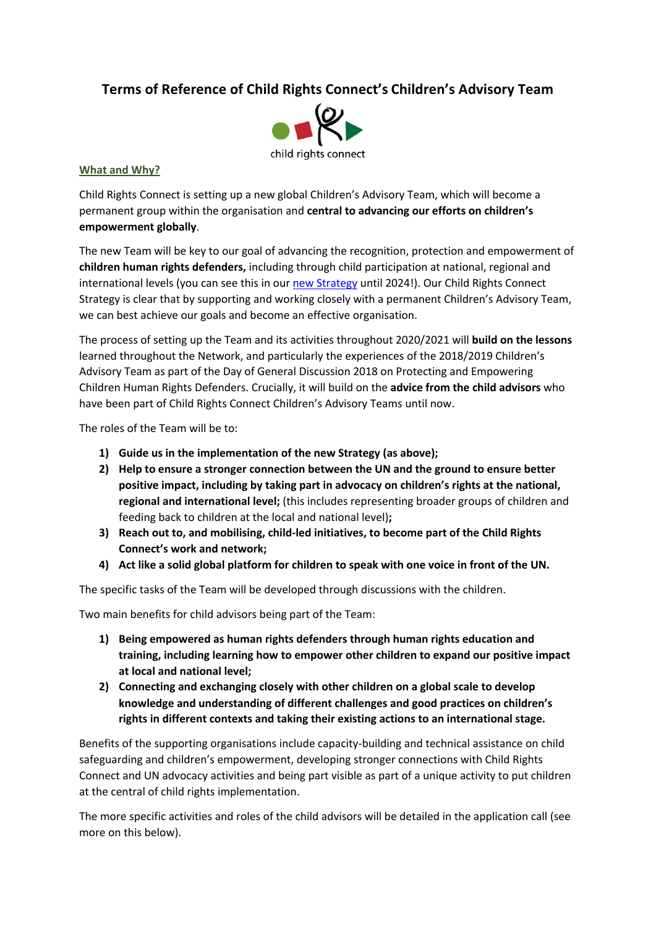# **Terms of Reference of Child Rights Connect's Children's Advisory Team**



#### **What and Why?**

Child Rights Connect is setting up a new global Children's Advisory Team, which will become a permanent group within the organisation and **central to advancing our efforts on children's empowerment globally**.

The new Team will be key to our goal of advancing the recognition, protection and empowerment of **children human rights defenders,** including through child participation at national, regional and international levels (you can see this in our new Strategy until 2024!). Our Child Rights Connect Strategy is clear that by supporting and working closely with a permanent Children's Advisory Team, we can best achieve our goals and become an effective organisation.

The process of setting up the Team and its activities throughout 2020/2021 will **build on the lessons** learned throughout the Network, and particularly the experiences of the 2018/2019 Children's Advisory Team as part of the Day of General Discussion 2018 on Protecting and Empowering Children Human Rights Defenders. Crucially, it will build on the **advice from the child advisors** who have been part of Child Rights Connect Children's Advisory Teams until now.

The roles of the Team will be to:

- **1) Guide us in the implementation of the new Strategy (as above);**
- **2) Help to ensure a stronger connection between the UN and the ground to ensure better positive impact, including by taking part in advocacy on children's rights at the national, regional and international level;** (this includes representing broader groups of children and feeding back to children at the local and national level)**;**
- **3) Reach out to, and mobilising, child-led initiatives, to become part of the Child Rights Connect's work and network;**
- **4) Act like a solid global platform for children to speak with one voice in front of the UN.**

The specific tasks of the Team will be developed through discussions with the children.

Two main benefits for child advisors being part of the Team:

- **1) Being empowered as human rights defenders through human rights education and training, including learning how to empower other children to expand our positive impact at local and national level;**
- **2) Connecting and exchanging closely with other children on a global scale to develop knowledge and understanding of different challenges and good practices on children's rights in different contexts and taking their existing actions to an international stage.**

Benefits of the supporting organisations include capacity-building and technical assistance on child safeguarding and children's empowerment, developing stronger connections with Child Rights Connect and UN advocacy activities and being part visible as part of a unique activity to put children at the central of child rights implementation.

The more specific activities and roles of the child advisors will be detailed in the application call (see more on this below).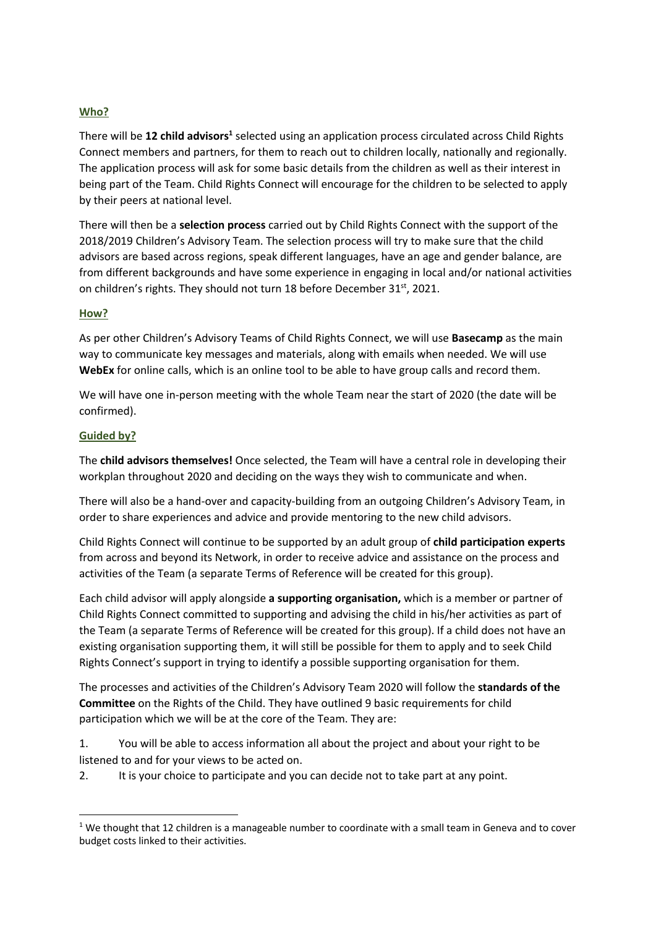### **Who?**

There will be 12 child advisors<sup>1</sup> selected using an application process circulated across Child Rights Connect members and partners, for them to reach out to children locally, nationally and regionally. The application process will ask for some basic details from the children as well as their interest in being part of the Team. Child Rights Connect will encourage for the children to be selected to apply by their peers at national level.

There will then be a **selection process** carried out by Child Rights Connect with the support of the 2018/2019 Children's Advisory Team. The selection process will try to make sure that the child advisors are based across regions, speak different languages, have an age and gender balance, are from different backgrounds and have some experience in engaging in local and/or national activities on children's rights. They should not turn 18 before December 31st, 2021.

#### **How?**

As per other Children's Advisory Teams of Child Rights Connect, we will use **Basecamp** as the main way to communicate key messages and materials, along with emails when needed. We will use **WebEx** for online calls, which is an online tool to be able to have group calls and record them.

We will have one in-person meeting with the whole Team near the start of 2020 (the date will be confirmed).

#### **Guided by?**

The **child advisors themselves!** Once selected, the Team will have a central role in developing their workplan throughout 2020 and deciding on the ways they wish to communicate and when.

There will also be a hand-over and capacity-building from an outgoing Children's Advisory Team, in order to share experiences and advice and provide mentoring to the new child advisors.

Child Rights Connect will continue to be supported by an adult group of **child participation experts**  from across and beyond its Network, in order to receive advice and assistance on the process and activities of the Team (a separate Terms of Reference will be created for this group).

Each child advisor will apply alongside **a supporting organisation,** which is a member or partner of Child Rights Connect committed to supporting and advising the child in his/her activities as part of the Team (a separate Terms of Reference will be created for this group). If a child does not have an existing organisation supporting them, it will still be possible for them to apply and to seek Child Rights Connect's support in trying to identify a possible supporting organisation for them.

The processes and activities of the Children's Advisory Team 2020 will follow the **standards of the Committee** on the Rights of the Child. They have outlined 9 basic requirements for child participation which we will be at the core of the Team. They are:

1. You will be able to access information all about the project and about your right to be listened to and for your views to be acted on.

2. It is your choice to participate and you can decide not to take part at any point.

 $1$  We thought that 12 children is a manageable number to coordinate with a small team in Geneva and to cover budget costs linked to their activities.